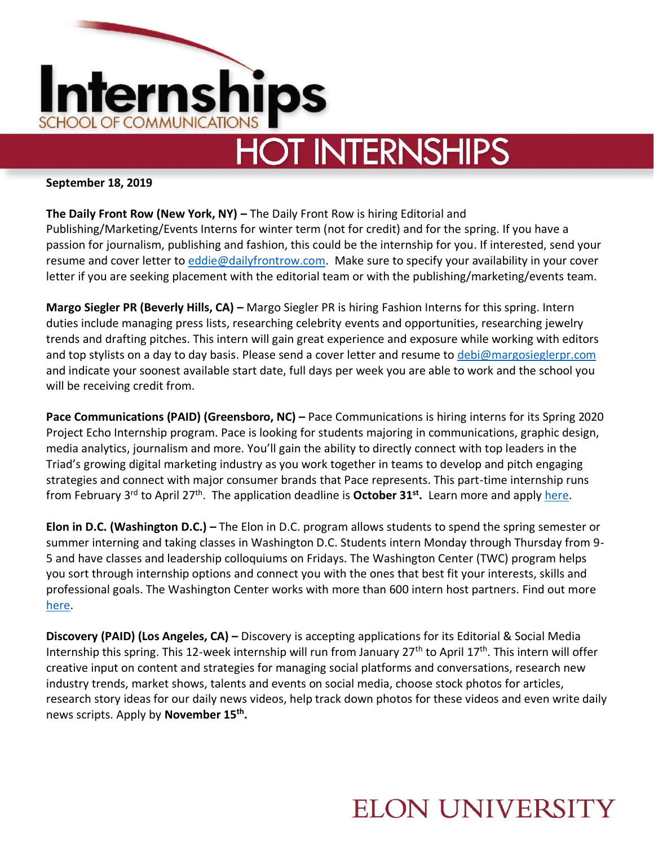

# **HOT INTERNSHIPS**

#### **September 18, 2019**

**The Daily Front Row (New York, NY) –** The Daily Front Row is hiring Editorial and Publishing/Marketing/Events Interns for winter term (not for credit) and for the spring. If you have a passion for journalism, publishing and fashion, this could be the internship for you. If interested, send your resume and cover letter to [eddie@dailyfrontrow.com.](mailto:eddie@dailyfrontrow.com) Make sure to specify your availability in your cover letter if you are seeking placement with the editorial team or with the publishing/marketing/events team.

**Margo Siegler PR (Beverly Hills, CA) –** Margo Siegler PR is hiring Fashion Interns for this spring. Intern duties include managing press lists, researching celebrity events and opportunities, researching jewelry trends and drafting pitches. This intern will gain great experience and exposure while working with editors and top stylists on a day to day basis. Please send a cover letter and resume to [debi@margosieglerpr.com](mailto:debi@margosieglerpr.com) and indicate your soonest available start date, full days per week you are able to work and the school you will be receiving credit from.

**Pace Communications (PAID) (Greensboro, NC) – Pace Communications is hiring interns for its Spring 2020** Project Echo Internship program. Pace is looking for students majoring in communications, graphic design, media analytics, journalism and more. You'll gain the ability to directly connect with top leaders in the Triad's growing digital marketing industry as you work together in teams to develop and pitch engaging strategies and connect with major consumer brands that Pace represents. This part-time internship runs from February 3<sup>rd</sup> to April 27<sup>th</sup>. The application deadline is **October 31<sup>st</sup>.** Learn more and appl[y here.](https://recruiting.ultipro.com/PAC1021PACOM/JobBoard/b1de2eec-4aa4-4931-86d1-ddd2c28e2b6e/OpportunityDetail?opportunityId=71c8744b-209e-4491-88cf-661f7ce22089)

**Elon in D.C. (Washington D.C.) –** The Elon in D.C. program allows students to spend the spring semester or summer interning and taking classes in Washington D.C. Students intern Monday through Thursday from 9- 5 and have classes and leadership colloquiums on Fridays. The Washington Center (TWC) program helps you sort through internship options and connect you with the ones that best fit your interests, skills and professional goals. The Washington Center works with more than 600 intern host partners. Find out more [here.](https://twc.edu/programs/academic-internship-program)

**Discovery (PAID) (Los Angeles, CA) –** Discovery is accepting applications for its Editorial & Social Media Internship this spring. This 12-week internship will run from January  $27<sup>th</sup>$  to April 17<sup>th</sup>. This intern will offer creative input on content and strategies for managing social platforms and conversations, research new industry trends, market shows, talents and events on social media, choose stock photos for articles, research story ideas for our daily news videos, help track down photos for these videos and even write daily news scripts. Apply by **November 15th .** 

### **ELON UNIVERSITY**